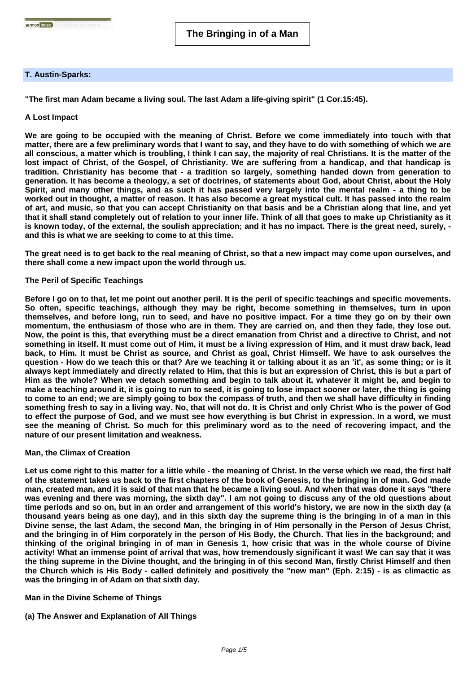## **T. Austin-Sparks:**

sermon index **Exercise Company** 

**"The first man Adam became a living soul. The last Adam a life-giving spirit" (1 Cor.15:45).**

# **A Lost Impact**

**We are going to be occupied with the meaning of Christ. Before we come immediately into touch with that matter, there are a few preliminary words that I want to say, and they have to do with something of which we are all conscious, a matter which is troubling, I think I can say, the majority of real Christians. It is the matter of the lost impact of Christ, of the Gospel, of Christianity. We are suffering from a handicap, and that handicap is tradition. Christianity has become that - a tradition so largely, something handed down from generation to generation. It has become a theology, a set of doctrines, of statements about God, about Christ, about the Holy Spirit, and many other things, and as such it has passed very largely into the mental realm - a thing to be worked out in thought, a matter of reason. It has also become a great mystical cult. It has passed into the realm of art, and music, so that you can accept Christianity on that basis and be a Christian along that line, and yet that it shall stand completely out of relation to your inner life. Think of all that goes to make up Christianity as it is known today, of the external, the soulish appreciation; and it has no impact. There is the great need, surely, and this is what we are seeking to come to at this time.**

**The great need is to get back to the real meaning of Christ, so that a new impact may come upon ourselves, and there shall come a new impact upon the world through us.**

### **The Peril of Specific Teachings**

**Before I go on to that, let me point out another peril. It is the peril of specific teachings and specific movements. So often, specific teachings, although they may be right, become something in themselves, turn in upon themselves, and before long, run to seed, and have no positive impact. For a time they go on by their own momentum, the enthusiasm of those who are in them. They are carried on, and then they fade, they lose out. Now, the point is this, that everything must be a direct emanation from Christ and a directive to Christ, and not something in itself. It must come out of Him, it must be a living expression of Him, and it must draw back, lead back, to Him. It must be Christ as source, and Christ as goal, Christ Himself. We have to ask ourselves the question - How do we teach this or that? Are we teaching it or talking about it as an 'it', as some thing; or is it always kept immediately and directly related to Him, that this is but an expression of Christ, this is but a part of Him as the whole? When we detach something and begin to talk about it, whatever it might be, and begin to make a teaching around it, it is going to run to seed, it is going to lose impact sooner or later, the thing is going to come to an end; we are simply going to box the compass of truth, and then we shall have difficulty in finding something fresh to say in a living way. No, that will not do. It is Christ and only Christ Who is the power of God to effect the purpose of God, and we must see how everything is but Christ in expression. In a word, we must see the meaning of Christ. So much for this preliminary word as to the need of recovering impact, and the nature of our present limitation and weakness.**

## **Man, the Climax of Creation**

**Let us come right to this matter for a little while - the meaning of Christ. In the verse which we read, the first half of the statement takes us back to the first chapters of the book of Genesis, to the bringing in of man. God made man, created man, and it is said of that man that he became a living soul. And when that was done it says "there was evening and there was morning, the sixth day". I am not going to discuss any of the old questions about time periods and so on, but in an order and arrangement of this world's history, we are now in the sixth day (a thousand years being as one day), and in this sixth day the supreme thing is the bringing in of a man in this Divine sense, the last Adam, the second Man, the bringing in of Him personally in the Person of Jesus Christ, and the bringing in of Him corporately in the person of His Body, the Church. That lies in the background; and thinking of the original bringing in of man in Genesis 1, how crisic that was in the whole course of Divine activity! What an immense point of arrival that was, how tremendously significant it was! We can say that it was the thing supreme in the Divine thought, and the bringing in of this second Man, firstly Christ Himself and then the Church which is His Body - called definitely and positively the "new man" (Eph. 2:15) - is as climactic as was the bringing in of Adam on that sixth day.**

## **Man in the Divine Scheme of Things**

## **(a) The Answer and Explanation of All Things**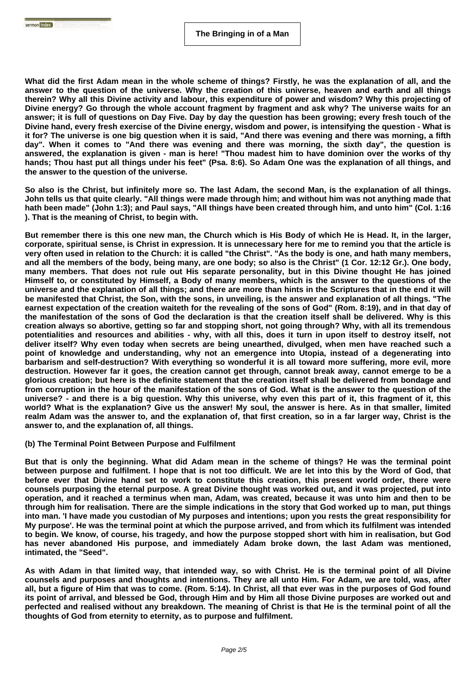**What did the first Adam mean in the whole scheme of things? Firstly, he was the explanation of all, and the answer to the question of the universe. Why the creation of this universe, heaven and earth and all things therein? Why all this Divine activity and labour, this expenditure of power and wisdom? Why this projecting of Divine energy? Go through the whole account fragment by fragment and ask why? The universe waits for an answer; it is full of questions on Day Five. Day by day the question has been growing; every fresh touch of the Divine hand, every fresh exercise of the Divine energy, wisdom and power, is intensifying the question - What is it for? The universe is one big question when it is said, "And there was evening and there was morning, a fifth day". When it comes to "And there was evening and there was morning, the sixth day", the question is answered, the explanation is given - man is here! "Thou madest him to have dominion over the works of thy hands; Thou hast put all things under his feet" (Psa. 8:6). So Adam One was the explanation of all things, and the answer to the question of the universe.**

**So also is the Christ, but infinitely more so. The last Adam, the second Man, is the explanation of all things. John tells us that quite clearly. "All things were made through him; and without him was not anything made that hath been made" (John 1:3); and Paul says, "All things have been created through him, and unto him" (Col. 1:16 ). That is the meaning of Christ, to begin with.**

**But remember there is this one new man, the Church which is His Body of which He is Head. It, in the larger, corporate, spiritual sense, is Christ in expression. It is unnecessary here for me to remind you that the article is very often used in relation to the Church: it is called "the Christ". "As the body is one, and hath many members, and all the members of the body, being many, are one body; so also is the Christ" (1 Cor. 12:12 Gr.). One body, many members. That does not rule out His separate personality, but in this Divine thought He has joined Himself to, or constituted by Himself, a Body of many members, which is the answer to the questions of the universe and the explanation of all things; and there are more than hints in the Scriptures that in the end it will be manifested that Christ, the Son, with the sons, in unveiling, is the answer and explanation of all things. "The earnest expectation of the creation waiteth for the revealing of the sons of God" (Rom. 8:19), and in that day of the manifestation of the sons of God the declaration is that the creation itself shall be delivered. Why is this creation always so abortive, getting so far and stopping short, not going through? Why, with all its tremendous potentialities and resources and abilities - why, with all this, does it turn in upon itself to destroy itself, not deliver itself? Why even today when secrets are being unearthed, divulged, when men have reached such a point of knowledge and understanding, why not an emergence into Utopia, instead of a degenerating into barbarism and self-destruction? With everything so wonderful it is all toward more suffering, more evil, more destruction. However far it goes, the creation cannot get through, cannot break away, cannot emerge to be a glorious creation; but here is the definite statement that the creation itself shall be delivered from bondage and from corruption in the hour of the manifestation of the sons of God. What is the answer to the question of the universe? - and there is a big question. Why this universe, why even this part of it, this fragment of it, this world? What is the explanation? Give us the answer! My soul, the answer is here. As in that smaller, limited realm Adam was the answer to, and the explanation of, that first creation, so in a far larger way, Christ is the answer to, and the explanation of, all things.**

#### **(b) The Terminal Point Between Purpose and Fulfilment**

**But that is only the beginning. What did Adam mean in the scheme of things? He was the terminal point between purpose and fulfilment. I hope that is not too difficult. We are let into this by the Word of God, that before ever that Divine hand set to work to constitute this creation, this present world order, there were counsels purposing the eternal purpose. A great Divine thought was worked out, and it was projected, put into operation, and it reached a terminus when man, Adam, was created, because it was unto him and then to be through him for realisation. There are the simple indications in the story that God worked up to man, put things into man. 'I have made you custodian of My purposes and intentions; upon you rests the great responsibility for My purpose'. He was the terminal point at which the purpose arrived, and from which its fulfilment was intended to begin. We know, of course, his tragedy, and how the purpose stopped short with him in realisation, but God has never abandoned His purpose, and immediately Adam broke down, the last Adam was mentioned, intimated, the "Seed".**

**As with Adam in that limited way, that intended way, so with Christ. He is the terminal point of all Divine counsels and purposes and thoughts and intentions. They are all unto Him. For Adam, we are told, was, after all, but a figure of Him that was to come. (Rom. 5:14). In Christ, all that ever was in the purposes of God found its point of arrival, and blessed be God, through Him and by Him all those Divine purposes are worked out and perfected and realised without any breakdown. The meaning of Christ is that He is the terminal point of all the thoughts of God from eternity to eternity, as to purpose and fulfilment.**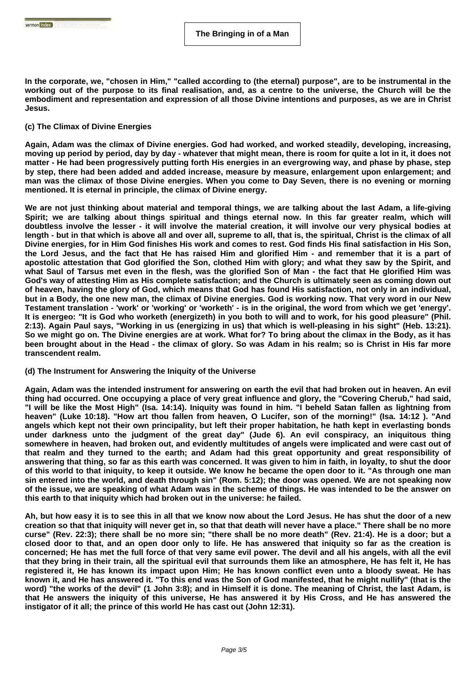**In the corporate, we, "chosen in Him," "called according to (the eternal) purpose", are to be instrumental in the working out of the purpose to its final realisation, and, as a centre to the universe, the Church will be the embodiment and representation and expression of all those Divine intentions and purposes, as we are in Christ Jesus.**

### **(c) The Climax of Divine Energies**

**Again, Adam was the climax of Divine energies. God had worked, and worked steadily, developing, increasing, moving up period by period, day by day - whatever that might mean, there is room for quite a lot in it, it does not matter - He had been progressively putting forth His energies in an evergrowing way, and phase by phase, step by step, there had been added and added increase, measure by measure, enlargement upon enlargement; and man was the climax of those Divine energies. When you come to Day Seven, there is no evening or morning mentioned. It is eternal in principle, the climax of Divine energy.**

**We are not just thinking about material and temporal things, we are talking about the last Adam, a life-giving Spirit; we are talking about things spiritual and things eternal now. In this far greater realm, which will doubtless involve the lesser - it will involve the material creation, it will involve our very physical bodies at length - but in that which is above all and over all, supreme to all, that is, the spiritual, Christ is the climax of all Divine energies, for in Him God finishes His work and comes to rest. God finds His final satisfaction in His Son, the Lord Jesus, and the fact that He has raised Him and glorified Him - and remember that it is a part of apostolic attestation that God glorified the Son, clothed Him with glory; and what they saw by the Spirit, and what Saul of Tarsus met even in the flesh, was the glorified Son of Man - the fact that He glorified Him was God's way of attesting Him as His complete satisfaction; and the Church is ultimately seen as coming down out of heaven, having the glory of God, which means that God has found His satisfaction, not only in an individual, but in a Body, the one new man, the climax of Divine energies. God is working now. That very word in our New Testament translation - 'work' or 'working' or 'worketh' - is in the original, the word from which we get 'energy'. It is energeo: "It is God who worketh (energizeth) in you both to will and to work, for his good pleasure" (Phil. 2:13). Again Paul says, "Working in us (energizing in us) that which is well-pleasing in his sight" (Heb. 13:21). So we might go on. The Divine energies are at work. What for? To bring about the climax in the Body, as it has been brought about in the Head - the climax of glory. So was Adam in his realm; so is Christ in His far more transcendent realm.**

## **(d) The Instrument for Answering the Iniquity of the Universe**

**Again, Adam was the intended instrument for answering on earth the evil that had broken out in heaven. An evil thing had occurred. One occupying a place of very great influence and glory, the "Covering Cherub," had said, "I will be like the Most High" (Isa. 14:14). Iniquity was found in him. "I beheld Satan fallen as lightning from heaven" (Luke 10:18). "How art thou fallen from heaven, O Lucifer, son of the morning!" (Isa. 14:12 ). "And angels which kept not their own principality, but left their proper habitation, he hath kept in everlasting bonds** under darkness unto the judgment of the great day" (Jude 6). An evil conspiracy, an iniquitous thing **somewhere in heaven, had broken out, and evidently multitudes of angels were implicated and were cast out of that realm and they turned to the earth; and Adam had this great opportunity and great responsibility of answering that thing, so far as this earth was concerned. It was given to him in faith, in loyalty, to shut the door of this world to that iniquity, to keep it outside. We know he became the open door to it. "As through one man sin entered into the world, and death through sin" (Rom. 5:12); the door was opened. We are not speaking now of the issue, we are speaking of what Adam was in the scheme of things. He was intended to be the answer on this earth to that iniquity which had broken out in the universe: he failed.**

**Ah, but how easy it is to see this in all that we know now about the Lord Jesus. He has shut the door of a new creation so that that iniquity will never get in, so that that death will never have a place." There shall be no more curse" (Rev. 22:3); there shall be no more sin; "there shall be no more death" (Rev. 21:4). He is a door; but a closed door to that, and an open door only to life. He has answered that iniquity so far as the creation is concerned; He has met the full force of that very same evil power. The devil and all his angels, with all the evil that they bring in their train, all the spiritual evil that surrounds them like an atmosphere, He has felt it, He has registered it, He has known its impact upon Him; He has known conflict even unto a bloody sweat. He has known it, and He has answered it. "To this end was the Son of God manifested, that he might nullify" (that is the word) "the works of the devil" (1 John 3:8); and in Himself it is done. The meaning of Christ, the last Adam, is that He answers the iniquity of this universe, He has answered it by His Cross, and He has answered the instigator of it all; the prince of this world He has cast out (John 12:31).**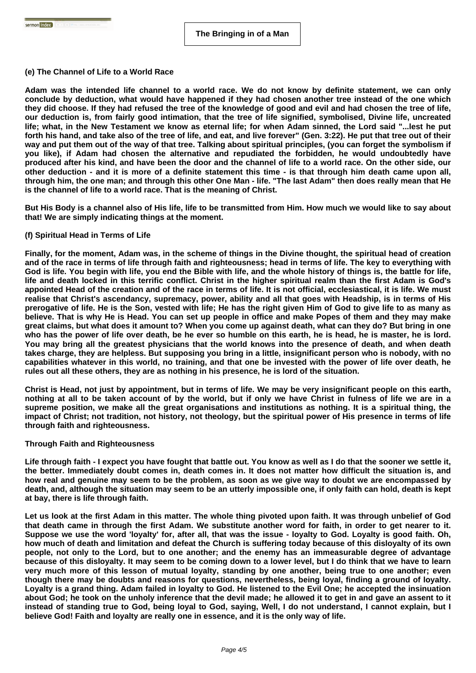### **(e) The Channel of Life to a World Race**

**Adam was the intended life channel to a world race. We do not know by definite statement, we can only conclude by deduction, what would have happened if they had chosen another tree instead of the one which they did choose. If they had refused the tree of the knowledge of good and evil and had chosen the tree of life, our deduction is, from fairly good intimation, that the tree of life signified, symbolised, Divine life, uncreated life; what, in the New Testament we know as eternal life; for when Adam sinned, the Lord said "...lest he put forth his hand, and take also of the tree of life, and eat, and live forever" (Gen. 3:22). He put that tree out of their way and put them out of the way of that tree. Talking about spiritual principles, (you can forget the symbolism if you like), if Adam had chosen the alternative and repudiated the forbidden, he would undoubtedly have produced after his kind, and have been the door and the channel of life to a world race. On the other side, our other deduction - and it is more of a definite statement this time - is that through him death came upon all, through him, the one man; and through this other One Man - life. "The last Adam" then does really mean that He is the channel of life to a world race. That is the meaning of Christ.**

**But His Body is a channel also of His life, life to be transmitted from Him. How much we would like to say about that! We are simply indicating things at the moment.**

### **(f) Spiritual Head in Terms of Life**

**Finally, for the moment, Adam was, in the scheme of things in the Divine thought, the spiritual head of creation and of the race in terms of life through faith and righteousness; head in terms of life. The key to everything with God is life. You begin with life, you end the Bible with life, and the whole history of things is, the battle for life, life and death locked in this terrific conflict. Christ in the higher spiritual realm than the first Adam is God's appointed Head of the creation and of the race in terms of life. It is not official, ecclesiastical, it is life. We must realise that Christ's ascendancy, supremacy, power, ability and all that goes with Headship, is in terms of His prerogative of life. He is the Son, vested with life; He has the right given Him of God to give life to as many as believe. That is why He is Head. You can set up people in office and make Popes of them and they may make great claims, but what does it amount to? When you come up against death, what can they do? But bring in one who has the power of life over death, be he ever so humble on this earth, he is head, he is master, he is lord. You may bring all the greatest physicians that the world knows into the presence of death, and when death takes charge, they are helpless. But supposing you bring in a little, insignificant person who is nobody, with no capabilities whatever in this world, no training, and that one be invested with the power of life over death, he rules out all these others, they are as nothing in his presence, he is lord of the situation.**

**Christ is Head, not just by appointment, but in terms of life. We may be very insignificant people on this earth, nothing at all to be taken account of by the world, but if only we have Christ in fulness of life we are in a supreme position, we make all the great organisations and institutions as nothing. It is a spiritual thing, the impact of Christ; not tradition, not history, not theology, but the spiritual power of His presence in terms of life through faith and righteousness.**

#### **Through Faith and Righteousness**

**Life through faith - I expect you have fought that battle out. You know as well as I do that the sooner we settle it, the better. Immediately doubt comes in, death comes in. It does not matter how difficult the situation is, and how real and genuine may seem to be the problem, as soon as we give way to doubt we are encompassed by death, and, although the situation may seem to be an utterly impossible one, if only faith can hold, death is kept at bay, there is life through faith.**

**Let us look at the first Adam in this matter. The whole thing pivoted upon faith. It was through unbelief of God that death came in through the first Adam. We substitute another word for faith, in order to get nearer to it. Suppose we use the word 'loyalty' for, after all, that was the issue - loyalty to God. Loyalty is good faith. Oh, how much of death and limitation and defeat the Church is suffering today because of this disloyalty of its own people, not only to the Lord, but to one another; and the enemy has an immeasurable degree of advantage because of this disloyalty. It may seem to be coming down to a lower level, but I do think that we have to learn very much more of this lesson of mutual loyalty, standing by one another, being true to one another; even though there may be doubts and reasons for questions, nevertheless, being loyal, finding a ground of loyalty. Loyalty is a grand thing. Adam failed in loyalty to God. He listened to the Evil One; he accepted the insinuation about God; he took on the unholy inference that the devil made; he allowed it to get in and gave an assent to it instead of standing true to God, being loyal to God, saying, Well, I do not understand, I cannot explain, but I believe God! Faith and loyalty are really one in essence, and it is the only way of life.**